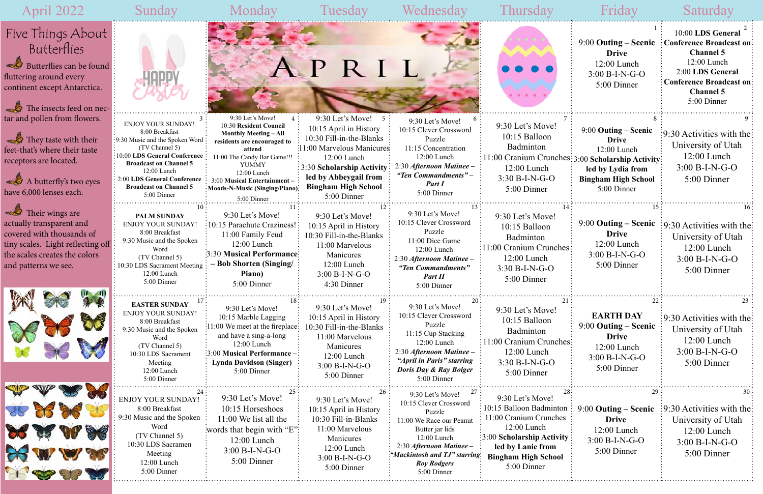# April 2022



The insects feed on nectar and pollen from flowers.

**They taste with their** feet-that's where their taste receptors are located.

 $\triangle$  A butterfly's two eyes have 6,000 lenses each.

 $\mathbb{Z}$ Their wings are actually transparent and covered with thousands of tiny scales. Light reflecting off the scales creates the colors and patterns we see.







| Sunday                                                                                                                                                                                                                                                                        | Monday                                                                                                                                                                                                                                                                         | Tuesday                                                                                                                                                                                                                          | Wednesday                                                                                                                                                                                                                 | Thursday                                                                                                                                                                                       | Friday                                                                                                                | Saturday                                                                                                                                                                         |
|-------------------------------------------------------------------------------------------------------------------------------------------------------------------------------------------------------------------------------------------------------------------------------|--------------------------------------------------------------------------------------------------------------------------------------------------------------------------------------------------------------------------------------------------------------------------------|----------------------------------------------------------------------------------------------------------------------------------------------------------------------------------------------------------------------------------|---------------------------------------------------------------------------------------------------------------------------------------------------------------------------------------------------------------------------|------------------------------------------------------------------------------------------------------------------------------------------------------------------------------------------------|-----------------------------------------------------------------------------------------------------------------------|----------------------------------------------------------------------------------------------------------------------------------------------------------------------------------|
|                                                                                                                                                                                                                                                                               |                                                                                                                                                                                                                                                                                |                                                                                                                                                                                                                                  |                                                                                                                                                                                                                           |                                                                                                                                                                                                | $9:00$ Outing – Scenic<br><b>Drive</b><br>12:00 Lunch<br>$3:00 B-I-N-G-O$<br>5:00 Dinner                              | 10:00 LDS General<br><b>Conference Broadcast on:</b><br><b>Channel 5</b><br>12:00 Lunch<br>2:00 LDS General<br><b>Conference Broadcast on</b><br><b>Channel 5</b><br>5:00 Dinner |
| <b>ENJOY YOUR SUNDAY!</b><br>8:00 Breakfast<br>$\frac{1}{2}$ 9:30 Music and the Spoken Word:<br>(TV Channel 5)<br>10:00 LDS General Conference<br><b>Broadcast on Channel 5</b><br>12:00 Lunch<br>2:00 LDS General Conference<br><b>Broadcast on Channel 5</b><br>5:00 Dinner | 9:30 Let's Move!<br>$4 \cdot$<br>10:30 Resident Council<br><b>Monthly Meeting - All</b><br>residents are encouraged to<br>attend<br>11:00 The Candy Bar Game!!!<br><b>YUMMY</b><br>12:00 Lunch<br>3:00 Musical Entertainment-<br>Moods-N-Music (Singing/Piano):<br>5:00 Dinner | 9:30 Let's Move!<br>5 :<br>10:15 April in History<br>10:30 Fill-in-the-Blanks<br>:11:00 Marvelous Manicures<br>12:00 Lunch<br>: 3:30 Scholarship Activity:<br>led by Abbeygail from<br><b>Bingham High School</b><br>5:00 Dinner | 9:30 Let's Move!<br>10:15 Clever Crossword<br>Puzzle<br>11:15 Concentration<br>12:00 Lunch<br>2:30 Afternoon Matinee –<br>"Ten Commandments" –<br>Part I<br>5:00 Dinner                                                   | 9:30 Let's Move!<br>10:15 Balloon<br>Badminton<br>11:00 Cranium Crunches: 3:00 Scholarship Activity:<br>12:00 Lunch<br>3:30 B-I-N-G-O<br>5:00 Dinner                                           | 9:00 Outing – Scenic<br><b>Drive</b><br>12:00 Lunch<br>led by Lydia from<br><b>Bingham High School</b><br>5:00 Dinner | $\left[9:30\right]$ Activities with the:<br>University of Utah<br>$12:00$ Lunch<br>$3:00 B-I-N-G-O$<br>5:00 Dinner                                                               |
| <b>PALM SUNDAY</b><br><b>ENJOY YOUR SUNDAY!</b><br>8:00 Breakfast<br>9:30 Music and the Spoken<br>Word<br>(TV Channel 5)<br>10:30 LDS Sacrament Meeting<br>12:00 Lunch<br>5:00 Dinner                                                                                         | 9:30 Let's Move!<br>:10:15 Parachute Craziness!<br>11:00 Family Feud<br>12:00 Lunch<br><b>3:30 Musical Performance:</b><br><b>Bob Shorten (Singing/</b><br>Piano)<br>5:00 Dinner                                                                                               | 9:30 Let's Move!<br>10:15 April in History<br>10:30 Fill-in-the-Blanks<br>11:00 Marvelous<br>Manicures<br>12:00 Lunch<br>$3:00 B-I-N-G-O$<br>4:30 Dinner                                                                         | 9:30 Let's Move!<br>10:15 Clever Crossword<br>Puzzle<br>11:00 Dice Game<br>12:00 Lunch<br>2:30 Afternoon Matinee -<br>"Ten Commandments"<br>Part II<br>5:00 Dinner                                                        | 9:30 Let's Move!<br>10:15 Balloon<br>Badminton<br>11:00 Cranium Crunches<br>12:00 Lunch<br>$3:30 B-I-N-G-O$<br>5:00 Dinner                                                                     | 15.<br>$9:00$ Outing – Scenic<br><b>Drive</b><br>$12:00$ Lunch<br>$3:00 B-I-N-G-O$<br>5:00 Dinner                     | $\frac{1}{2}$ :30 Activities with the<br>University of Utah<br>12:00 Lunch<br>3:00 B-I-N-G-O<br>5:00 Dinner                                                                      |
| <b>EASTER SUNDAY</b><br><b>ENJOY YOUR SUNDAY!</b><br>8:00 Breakfast<br>9:30 Music and the Spoken<br>Word<br>(TV Channel 5)<br>10:30 LDS Sacrament<br>Meeting<br>12:00 Lunch<br>5:00 Dinner                                                                                    | 9:30 Let's Move!<br>10:15 Marble Lagging<br>11:00 We meet at the fireplace:<br>and have a sing-a-long<br>12:00 Lunch<br>:3:00 Musical Performance -<br><b>Lynda Davidson (Singer)</b><br>5:00 Dinner                                                                           | 9:30 Let's Move!<br>10:15 April in History<br>10:30 Fill-in-the-Blanks<br>11:00 Marvelous<br>Manicures<br>12:00 Lunch<br>$3:00 B-I-N-G-O$<br>5:00 Dinner                                                                         | 20<br>9:30 Let's Move!<br>10:15 Clever Crossword<br>Puzzle<br>11:15 Cup Stacking<br>12:00 Lunch<br>2:30 Afternoon Matinee -<br>"April in Paris" starring<br><b>Doris Day &amp; Ray Bolger</b><br>5:00 Dinner              | 21:<br>9:30 Let's Move!<br>10:15 Balloon<br>Badminton<br>11:00 Cranium Crunches:<br>12:00 Lunch<br>3:30 B-I-N-G-O<br>5:00 Dinner                                                               | 22<br><b>EARTH DAY</b><br>$9:00$ Outing – Scenic<br><b>Drive</b><br>$12:00$ Lunch<br>$3:00 B-I-N-G-O$<br>5:00 Dinner  | 23<br>$\frac{1}{2}9.30$ Activities with the<br>University of Utah<br>12:00 Lunch<br>$3:00 B-I-N-G-O$<br>5:00 Dinner                                                              |
| <b>ENJOY YOUR SUNDAY!</b><br>8:00 Breakfast<br>9:30 Music and the Spoken<br>Word<br>(TV Channel 5)<br>10:30 LDS Sacramen<br>Meeting<br>12:00 Lunch<br>5:00 Dinner                                                                                                             | 25 :<br>9:30 Let's Move!<br>10:15 Horseshoes<br>$11:00$ We list all the<br>words that begin with "E":<br>12:00 Lunch<br>$3:00 B-I-N-G-O$<br>5:00 Dinner                                                                                                                        | 26<br>9:30 Let's Move!<br>10:15 April in History<br>10:30 Fill-in-Blanks<br>11:00 Marvelous<br>Manicures<br>12:00 Lunch<br>3:00 B-I-N-G-O<br>5:00 Dinner                                                                         | 27<br>9:30 Let's Move!<br>10:15 Clever Crossword<br>Puzzle<br>11:00 We Race our Peanut<br>Butter jar lids<br>12:00 Lunch<br>2:30 Afternoon Matinee -<br>"Mackintosh and TJ" starring<br><b>Roy Rodgers</b><br>5:00 Dinner | 9:30 Let's Move!<br>10:15 Balloon Badminton<br>11:00 Cranium Crunches<br>12:00 Lunch<br>$\approx$ 3:00 Scholarship Activity:<br>led by Lanie from<br><b>Bingham High School</b><br>5:00 Dinner | 29<br>9:00 Outing – Scenic<br><b>Drive</b><br>12:00 Lunch<br>$3:00 B-I-N-G-O$<br>5:00 Dinner                          | $\div 9.30$ Activities with the $\div$<br>University of Utah<br>$12:00$ Lunch<br>$3:00 B-I-N-G-O$<br>5:00 Dinner                                                                 |

## Five Things About Butterflies  $\mathscr{L}$ Butterflies can be found fluttering around every

continent except Antarctica.